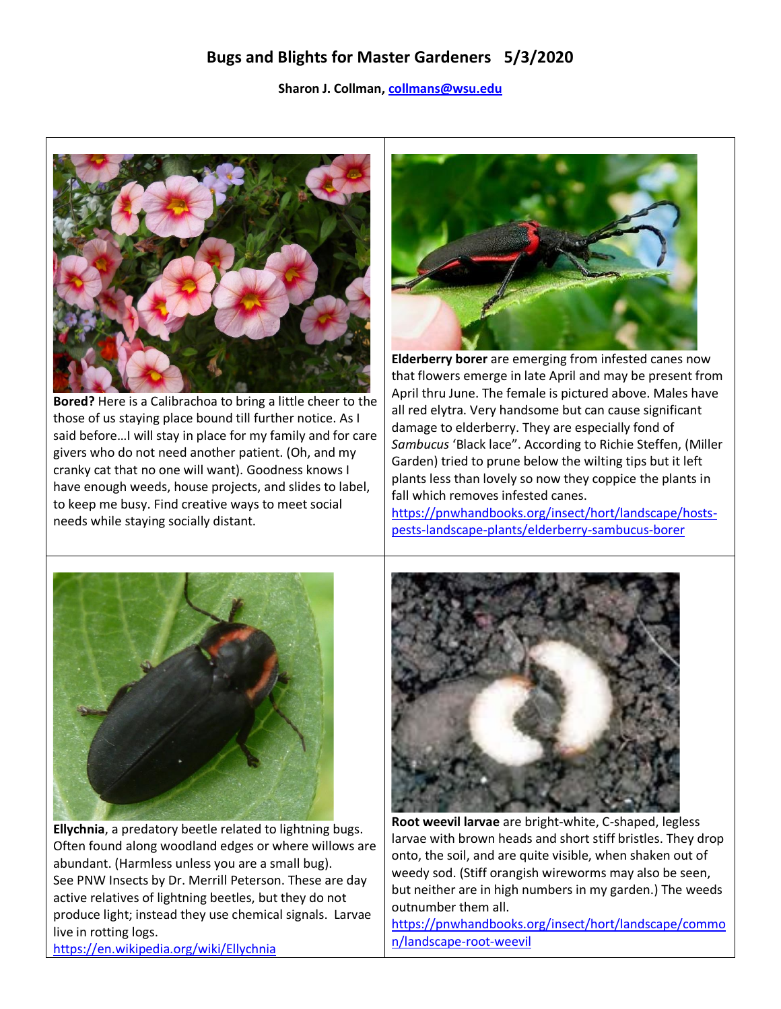## **Bugs and Blights for Master Gardeners 5/3/2020**

## **Sharon J. Collman[, collmans@wsu.edu](mailto:collmans@wsu.edu)**



**Bored?** Here is a Calibrachoa to bring a little cheer to the those of us staying place bound till further notice. As I said before…I will stay in place for my family and for care givers who do not need another patient. (Oh, and my cranky cat that no one will want). Goodness knows I have enough weeds, house projects, and slides to label, to keep me busy. Find creative ways to meet social needs while staying socially distant.



**Elderberry borer** are emerging from infested canes now that flowers emerge in late April and may be present from April thru June. The female is pictured above. Males have all red elytra. Very handsome but can cause significant damage to elderberry. They are especially fond of *Sambucus* 'Black lace". According to Richie Steffen, (Miller Garden) tried to prune below the wilting tips but it left plants less than lovely so now they coppice the plants in fall which removes infested canes.

[https://pnwhandbooks.org/insect/hort/landscape/hosts](https://pnwhandbooks.org/insect/hort/landscape/hosts-pests-landscape-plants/elderberry-sambucus-borer)[pests-landscape-plants/elderberry-sambucus-borer](https://pnwhandbooks.org/insect/hort/landscape/hosts-pests-landscape-plants/elderberry-sambucus-borer)



**Ellychnia**, a predatory beetle related to lightning bugs. Often found along woodland edges or where willows are abundant. (Harmless unless you are a small bug). See PNW Insects by Dr. Merrill Peterson. These are day active relatives of lightning beetles, but they do not produce light; instead they use chemical signals. Larvae live in rotting logs.



**Root weevil larvae** are bright-white, C-shaped, legless larvae with brown heads and short stiff bristles. They drop onto, the soil, and are quite visible, when shaken out of weedy sod. (Stiff orangish wireworms may also be seen, but neither are in high numbers in my garden.) The weeds outnumber them all.

[https://pnwhandbooks.org/insect/hort/landscape/commo](https://pnwhandbooks.org/insect/hort/landscape/common/landscape-root-weevil) [n/landscape-root-weevil](https://pnwhandbooks.org/insect/hort/landscape/common/landscape-root-weevil)

<https://en.wikipedia.org/wiki/Ellychnia>